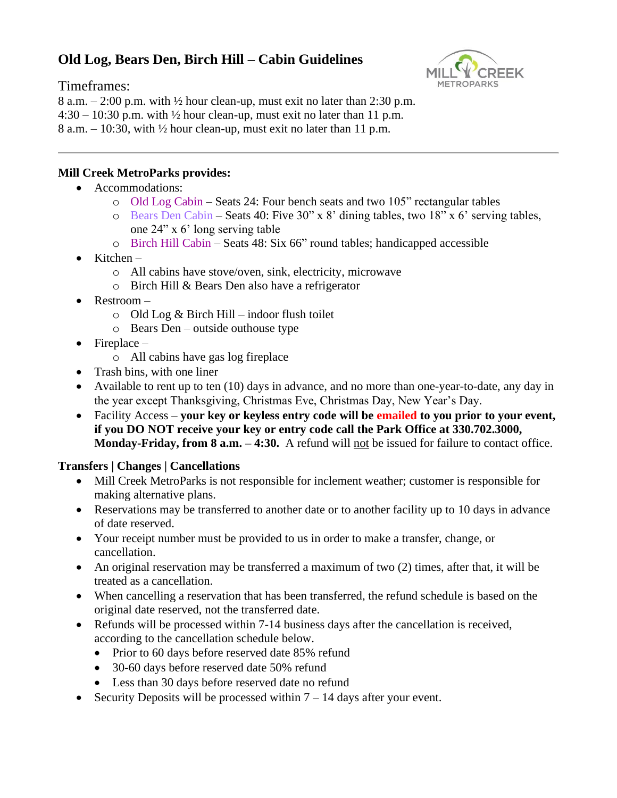# **Old Log, Bears Den, Birch Hill – Cabin Guidelines**

Timeframes:



8 a.m.  $-2:00$  p.m. with  $\frac{1}{2}$  hour clean-up, must exit no later than 2:30 p.m.  $4:30 - 10:30$  p.m. with  $\frac{1}{2}$  hour clean-up, must exit no later than 11 p.m. 8 a.m.  $-10:30$ , with  $\frac{1}{2}$  hour clean-up, must exit no later than 11 p.m.

## **Mill Creek MetroParks provides:**

- Accommodations:
	- o Old Log Cabin Seats 24: Four bench seats and two 105" rectangular tables
	- o Bears Den Cabin Seats 40: Five 30" x 8' dining tables, two 18" x 6' serving tables, one 24" x 6' long serving table
	- o Birch Hill Cabin Seats 48: Six 66" round tables; handicapped accessible
- Kitchen
	- o All cabins have stove/oven, sink, electricity, microwave
	- o Birch Hill & Bears Den also have a refrigerator
- Restroom
	- $\circ$  Old Log & Birch Hill indoor flush toilet
	- o Bears Den outside outhouse type
- $\bullet$  Fireplace
	- o All cabins have gas log fireplace
- Trash bins, with one liner
- Available to rent up to ten (10) days in advance, and no more than one-year-to-date, any day in the year except Thanksgiving, Christmas Eve, Christmas Day, New Year's Day.
- Facility Access **your key or keyless entry code will be emailed to you prior to your event, if you DO NOT receive your key or entry code call the Park Office at 330.702.3000, Monday-Friday, from 8 a.m. – 4:30.** A refund will not be issued for failure to contact office.

## **Transfers | Changes | Cancellations**

- Mill Creek MetroParks is not responsible for inclement weather; customer is responsible for making alternative plans.
- Reservations may be transferred to another date or to another facility up to 10 days in advance of date reserved.
- Your receipt number must be provided to us in order to make a transfer, change, or cancellation.
- An original reservation may be transferred a maximum of two (2) times, after that, it will be treated as a cancellation.
- When cancelling a reservation that has been transferred, the refund schedule is based on the original date reserved, not the transferred date.
- Refunds will be processed within 7-14 business days after the cancellation is received, according to the cancellation schedule below.
	- Prior to 60 days before reserved date 85% refund
	- 30-60 days before reserved date 50% refund
	- Less than 30 days before reserved date no refund
- Security Deposits will be processed within  $7 14$  days after your event.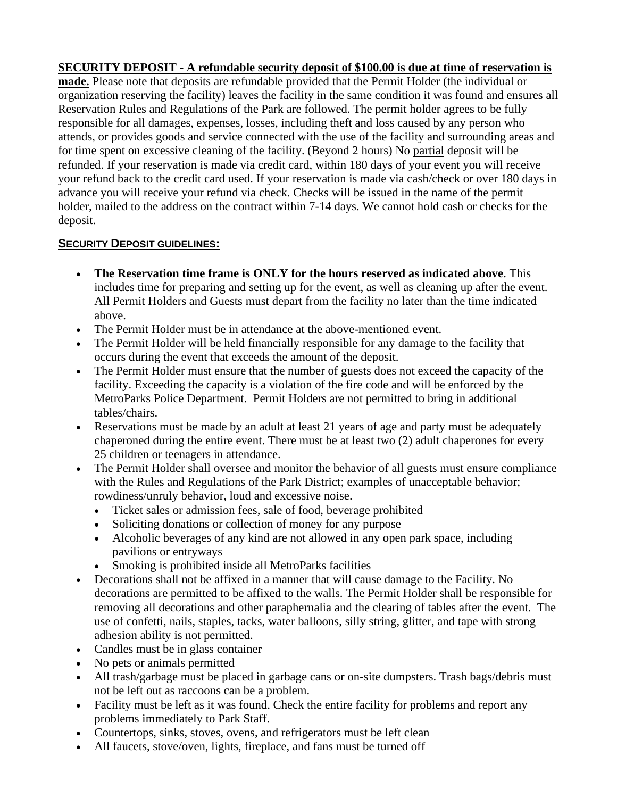## **SECURITY DEPOSIT - A refundable security deposit of \$100.00 is due at time of reservation is**

**made.** Please note that deposits are refundable provided that the Permit Holder (the individual or organization reserving the facility) leaves the facility in the same condition it was found and ensures all Reservation Rules and Regulations of the Park are followed. The permit holder agrees to be fully responsible for all damages, expenses, losses, including theft and loss caused by any person who attends, or provides goods and service connected with the use of the facility and surrounding areas and for time spent on excessive cleaning of the facility. (Beyond 2 hours) No partial deposit will be refunded. If your reservation is made via credit card, within 180 days of your event you will receive your refund back to the credit card used. If your reservation is made via cash/check or over 180 days in advance you will receive your refund via check. Checks will be issued in the name of the permit holder, mailed to the address on the contract within 7-14 days. We cannot hold cash or checks for the deposit.

### **SECURITY DEPOSIT GUIDELINES:**

- **The Reservation time frame is ONLY for the hours reserved as indicated above**. This includes time for preparing and setting up for the event, as well as cleaning up after the event. All Permit Holders and Guests must depart from the facility no later than the time indicated above.
- The Permit Holder must be in attendance at the above-mentioned event.
- The Permit Holder will be held financially responsible for any damage to the facility that occurs during the event that exceeds the amount of the deposit.
- The Permit Holder must ensure that the number of guests does not exceed the capacity of the facility. Exceeding the capacity is a violation of the fire code and will be enforced by the MetroParks Police Department. Permit Holders are not permitted to bring in additional tables/chairs.
- Reservations must be made by an adult at least 21 years of age and party must be adequately chaperoned during the entire event. There must be at least two (2) adult chaperones for every 25 children or teenagers in attendance.
- The Permit Holder shall oversee and monitor the behavior of all guests must ensure compliance with the Rules and Regulations of the Park District; examples of unacceptable behavior; rowdiness/unruly behavior, loud and excessive noise.
	- Ticket sales or admission fees, sale of food, beverage prohibited
	- Soliciting donations or collection of money for any purpose
	- Alcoholic beverages of any kind are not allowed in any open park space, including pavilions or entryways
	- Smoking is prohibited inside all MetroParks facilities
- Decorations shall not be affixed in a manner that will cause damage to the Facility. No decorations are permitted to be affixed to the walls. The Permit Holder shall be responsible for removing all decorations and other paraphernalia and the clearing of tables after the event. The use of confetti, nails, staples, tacks, water balloons, silly string, glitter, and tape with strong adhesion ability is not permitted.
- Candles must be in glass container
- No pets or animals permitted
- All trash/garbage must be placed in garbage cans or on-site dumpsters. Trash bags/debris must not be left out as raccoons can be a problem.
- Facility must be left as it was found. Check the entire facility for problems and report any problems immediately to Park Staff.
- Countertops, sinks, stoves, ovens, and refrigerators must be left clean
- All faucets, stove/oven, lights, fireplace, and fans must be turned off